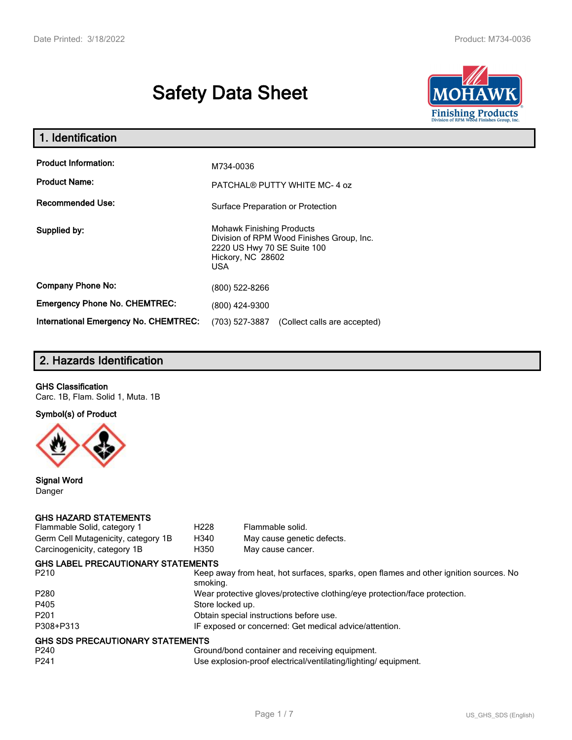# **Safety Data Sheet**



| 1. Identification                     |                                                                                                                                          |
|---------------------------------------|------------------------------------------------------------------------------------------------------------------------------------------|
| <b>Product Information:</b>           | M734-0036                                                                                                                                |
| <b>Product Name:</b>                  | PATCHAL® PUTTY WHITE MC-4 oz                                                                                                             |
| <b>Recommended Use:</b>               | Surface Preparation or Protection                                                                                                        |
| Supplied by:                          | <b>Mohawk Finishing Products</b><br>Division of RPM Wood Finishes Group, Inc.<br>2220 US Hwy 70 SE Suite 100<br>Hickory, NC 28602<br>USA |
| <b>Company Phone No:</b>              | (800) 522-8266                                                                                                                           |
| <b>Emergency Phone No. CHEMTREC:</b>  | (800) 424-9300                                                                                                                           |
| International Emergency No. CHEMTREC: | (703) 527-3887<br>(Collect calls are accepted)                                                                                           |

# **2. Hazards Identification**

### **GHS Classification**

Carc. 1B, Flam. Solid 1, Muta. 1B

**Symbol(s) of Product**



**Signal Word** Danger

#### **GHS HAZARD STATEMENTS**

| Flammable Solid, category 1               | H <sub>228</sub> | Flammable solid.                                                                      |
|-------------------------------------------|------------------|---------------------------------------------------------------------------------------|
| Germ Cell Mutagenicity, category 1B       | H340             | May cause genetic defects.                                                            |
| Carcinogenicity, category 1B              | H350             | May cause cancer.                                                                     |
| <b>GHS LABEL PRECAUTIONARY STATEMENTS</b> |                  |                                                                                       |
| P <sub>210</sub>                          | smoking.         | Keep away from heat, hot surfaces, sparks, open flames and other ignition sources. No |
| P <sub>280</sub>                          |                  | Wear protective gloves/protective clothing/eye protection/face protection.            |
| P405                                      | Store locked up. |                                                                                       |
| P <sub>201</sub>                          |                  | Obtain special instructions before use.                                               |
| P308+P313                                 |                  | IF exposed or concerned: Get medical advice/attention.                                |
| GHS SDS PRECAUTIONARY STATEMENTS          |                  |                                                                                       |
| P240                                      |                  | Ground/bond container and receiving equipment.                                        |
| P <sub>241</sub>                          |                  | Use explosion-proof electrical/ventilating/lighting/ equipment.                       |
|                                           |                  |                                                                                       |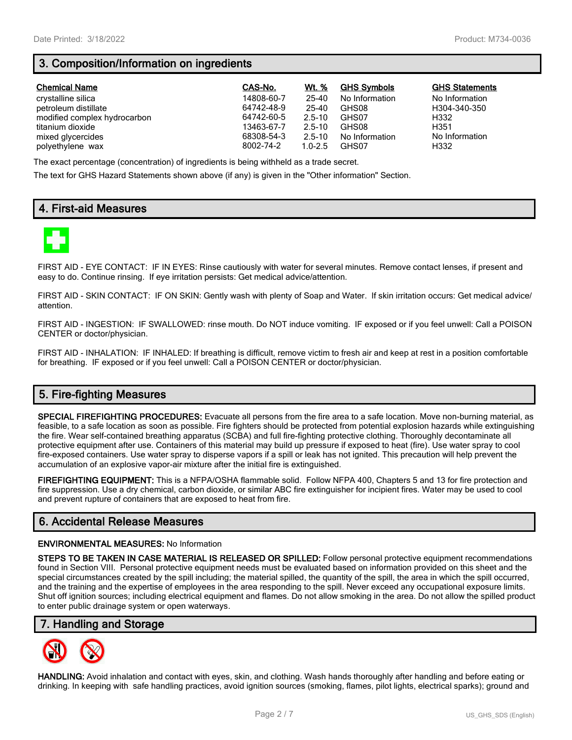# **3. Composition/Information on ingredients**

| <b>Chemical Name</b>         | CAS-No.    | Wt. %       | <b>GHS Symbols</b> | <b>GHS Statements</b> |
|------------------------------|------------|-------------|--------------------|-----------------------|
| crystalline silica           | 14808-60-7 | 25-40       | No Information     | No Information        |
| petroleum distillate         | 64742-48-9 | 25-40       | GHS08              | H304-340-350          |
| modified complex hydrocarbon | 64742-60-5 | $2.5 - 10$  | GHS07              | H332                  |
| titanium dioxide             | 13463-67-7 | $2.5 - 10$  | GHS08              | H351                  |
| mixed glycercides            | 68308-54-3 | $2.5 - 10$  | No Information     | No Information        |
| polyethylene wax             | 8002-74-2  | $1.0 - 2.5$ | GHS07              | H332                  |

The exact percentage (concentration) of ingredients is being withheld as a trade secret.

The text for GHS Hazard Statements shown above (if any) is given in the "Other information" Section.

# **4. First-aid Measures**



FIRST AID - EYE CONTACT: IF IN EYES: Rinse cautiously with water for several minutes. Remove contact lenses, if present and easy to do. Continue rinsing. If eye irritation persists: Get medical advice/attention.

FIRST AID - SKIN CONTACT: IF ON SKIN: Gently wash with plenty of Soap and Water. If skin irritation occurs: Get medical advice/ attention.

FIRST AID - INGESTION: IF SWALLOWED: rinse mouth. Do NOT induce vomiting. IF exposed or if you feel unwell: Call a POISON CENTER or doctor/physician.

FIRST AID - INHALATION: IF INHALED: If breathing is difficult, remove victim to fresh air and keep at rest in a position comfortable for breathing. IF exposed or if you feel unwell: Call a POISON CENTER or doctor/physician.

# **5. Fire-fighting Measures**

**SPECIAL FIREFIGHTING PROCEDURES:** Evacuate all persons from the fire area to a safe location. Move non-burning material, as feasible, to a safe location as soon as possible. Fire fighters should be protected from potential explosion hazards while extinguishing the fire. Wear self-contained breathing apparatus (SCBA) and full fire-fighting protective clothing. Thoroughly decontaminate all protective equipment after use. Containers of this material may build up pressure if exposed to heat (fire). Use water spray to cool fire-exposed containers. Use water spray to disperse vapors if a spill or leak has not ignited. This precaution will help prevent the accumulation of an explosive vapor-air mixture after the initial fire is extinguished.

**FIREFIGHTING EQUIPMENT:** This is a NFPA/OSHA flammable solid. Follow NFPA 400, Chapters 5 and 13 for fire protection and fire suppression. Use a dry chemical, carbon dioxide, or similar ABC fire extinguisher for incipient fires. Water may be used to cool and prevent rupture of containers that are exposed to heat from fire.

## **6. Accidental Release Measures**

#### **ENVIRONMENTAL MEASURES:** No Information

**STEPS TO BE TAKEN IN CASE MATERIAL IS RELEASED OR SPILLED:** Follow personal protective equipment recommendations found in Section VIII. Personal protective equipment needs must be evaluated based on information provided on this sheet and the special circumstances created by the spill including; the material spilled, the quantity of the spill, the area in which the spill occurred, and the training and the expertise of employees in the area responding to the spill. Never exceed any occupational exposure limits. Shut off ignition sources; including electrical equipment and flames. Do not allow smoking in the area. Do not allow the spilled product to enter public drainage system or open waterways.

## **7. Handling and Storage**



**HANDLING:** Avoid inhalation and contact with eyes, skin, and clothing. Wash hands thoroughly after handling and before eating or drinking. In keeping with safe handling practices, avoid ignition sources (smoking, flames, pilot lights, electrical sparks); ground and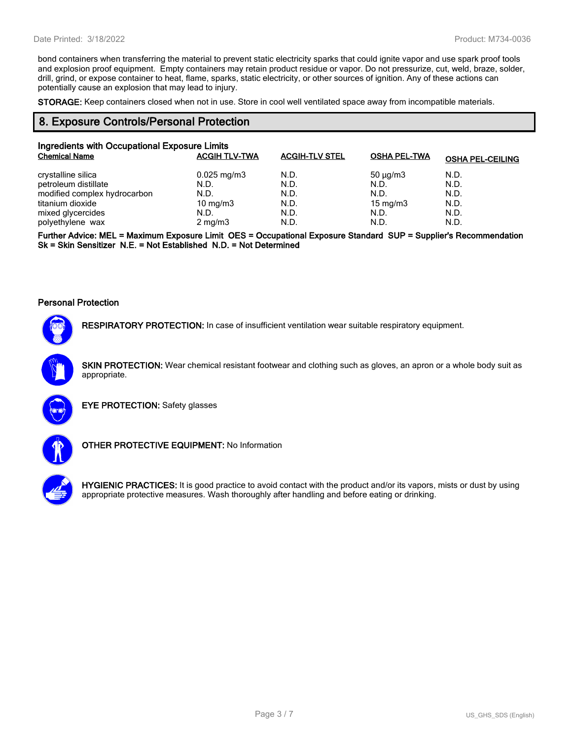bond containers when transferring the material to prevent static electricity sparks that could ignite vapor and use spark proof tools and explosion proof equipment. Empty containers may retain product residue or vapor. Do not pressurize, cut, weld, braze, solder, drill, grind, or expose container to heat, flame, sparks, static electricity, or other sources of ignition. Any of these actions can potentially cause an explosion that may lead to injury.

**STORAGE:** Keep containers closed when not in use. Store in cool well ventilated space away from incompatible materials.

#### **8. Exposure Controls/Personal Protection**

| Ingredients with Occupational Exposure Limits |                      |                       |                     |                         |  |  |
|-----------------------------------------------|----------------------|-----------------------|---------------------|-------------------------|--|--|
| <b>Chemical Name</b>                          | <b>ACGIH TLV-TWA</b> | <b>ACGIH-TLV STEL</b> | <b>OSHA PEL-TWA</b> | <b>OSHA PEL-CEILING</b> |  |  |
| crystalline silica                            | $0.025$ mg/m3        | N.D.                  | $50 \mu q/m3$       | N.D.                    |  |  |
| petroleum distillate                          | N.D.                 | N.D.                  | N.D.                | N.D.                    |  |  |
| modified complex hydrocarbon                  | N.D.                 | N.D.                  | N.D.                | N.D.                    |  |  |
| titanium dioxide                              | 10 mg/m $3$          | N.D.                  | 15 mg/m $3$         | N.D.                    |  |  |
| mixed glycercides                             | N.D.                 | N.D.                  | N.D.                | N.D.                    |  |  |
| polyethylene wax                              | $2 \text{ mg/m}$     | N.D.                  | N.D.                | N.D.                    |  |  |

**Further Advice: MEL = Maximum Exposure Limit OES = Occupational Exposure Standard SUP = Supplier's Recommendation Sk = Skin Sensitizer N.E. = Not Established N.D. = Not Determined**

#### **Personal Protection**



**RESPIRATORY PROTECTION:** In case of insufficient ventilation wear suitable respiratory equipment.

**SKIN PROTECTION:** Wear chemical resistant footwear and clothing such as gloves, an apron or a whole body suit as appropriate.



**EYE PROTECTION:** Safety glasses



**OTHER PROTECTIVE EQUIPMENT:** No Information



**HYGIENIC PRACTICES:** It is good practice to avoid contact with the product and/or its vapors, mists or dust by using appropriate protective measures. Wash thoroughly after handling and before eating or drinking.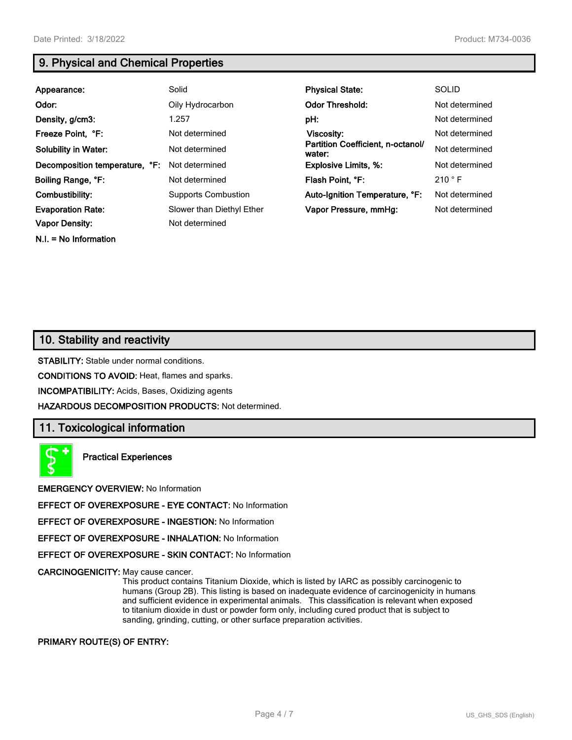**N.I. = No Information**

# **9. Physical and Chemical Properties**

| Appearance:                    | Solid                      | <b>Physical State:</b>                      | <b>SOLID</b>   |
|--------------------------------|----------------------------|---------------------------------------------|----------------|
| Odor:                          | Oily Hydrocarbon           | <b>Odor Threshold:</b>                      | Not determined |
| Density, g/cm3:                | 1.257                      | pH:                                         | Not determined |
| Freeze Point, °F:              | Not determined             | <b>Viscosity:</b>                           | Not determined |
| <b>Solubility in Water:</b>    | Not determined             | Partition Coefficient, n-octanol/<br>water: | Not determined |
| Decomposition temperature, °F: | Not determined             | <b>Explosive Limits, %:</b>                 | Not determined |
| Boiling Range, °F:             | Not determined             | Flash Point, °F:                            | 210 °F         |
| Combustibility:                | <b>Supports Combustion</b> | Auto-Ignition Temperature, °F:              | Not determined |
| <b>Evaporation Rate:</b>       | Slower than Diethyl Ether  | Vapor Pressure, mmHq:                       | Not determined |
| <b>Vapor Density:</b>          | Not determined             |                                             |                |

## **10. Stability and reactivity**

**STABILITY:** Stable under normal conditions.

**CONDITIONS TO AVOID:** Heat, flames and sparks.

**INCOMPATIBILITY:** Acids, Bases, Oxidizing agents

**HAZARDOUS DECOMPOSITION PRODUCTS:** Not determined.

## **11. Toxicological information**

**Practical Experiences**

**EMERGENCY OVERVIEW:** No Information

**EFFECT OF OVEREXPOSURE - EYE CONTACT:** No Information

**EFFECT OF OVEREXPOSURE - INGESTION:** No Information

**EFFECT OF OVEREXPOSURE - INHALATION:** No Information

**EFFECT OF OVEREXPOSURE - SKIN CONTACT:** No Information

**CARCINOGENICITY:** May cause cancer.

This product contains Titanium Dioxide, which is listed by IARC as possibly carcinogenic to humans (Group 2B). This listing is based on inadequate evidence of carcinogenicity in humans and sufficient evidence in experimental animals. This classification is relevant when exposed to titanium dioxide in dust or powder form only, including cured product that is subject to sanding, grinding, cutting, or other surface preparation activities.

#### **PRIMARY ROUTE(S) OF ENTRY:**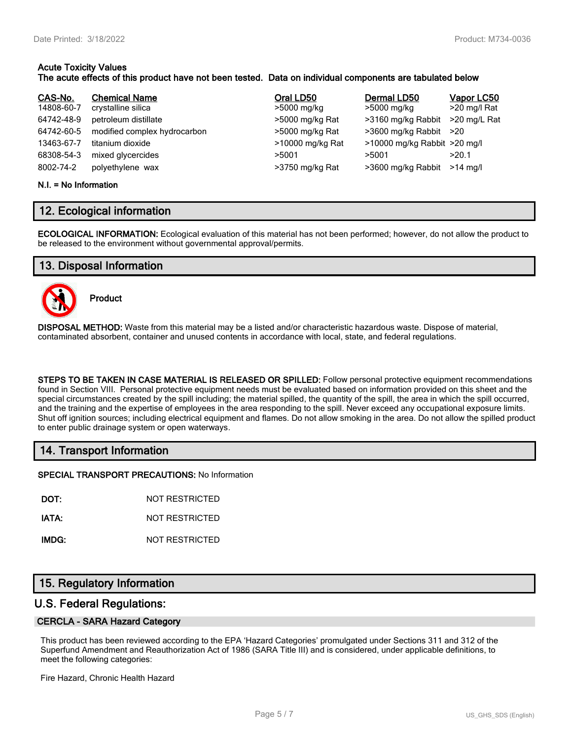## **Acute Toxicity Values**

### **The acute effects of this product have not been tested. Data on individual components are tabulated below**

| CAS-No.<br>14808-60-7<br>64742-48-9<br>64742-60-5<br>13463-67-7<br>68308-54-3<br>8002-74-2 | <b>Chemical Name</b><br>crystalline silica<br>petroleum distillate<br>modified complex hydrocarbon<br>titanium dioxide<br>mixed glycercides | Oral LD50<br>>5000 mg/kg<br>>5000 mg/kg Rat<br>>5000 mg/kg Rat<br>>10000 mg/kg Rat<br>>5001 | Dermal LD50<br>>5000 mg/kg<br>>3160 mg/kg Rabbit<br>$>3600$ mg/kg Rabbit $>20$<br>>10000 mg/kg Rabbit >20 mg/l<br>>5001 | Vapor LC50<br>>20 mg/l Rat<br>>20 mg/L Rat<br>>20.1<br>$>14$ ma/l |
|--------------------------------------------------------------------------------------------|---------------------------------------------------------------------------------------------------------------------------------------------|---------------------------------------------------------------------------------------------|-------------------------------------------------------------------------------------------------------------------------|-------------------------------------------------------------------|
|                                                                                            | polyethylene wax                                                                                                                            | >3750 mg/kg Rat                                                                             | >3600 mg/kg Rabbit                                                                                                      |                                                                   |

#### **N.I. = No Information**

## **12. Ecological information**

**ECOLOGICAL INFORMATION:** Ecological evaluation of this material has not been performed; however, do not allow the product to be released to the environment without governmental approval/permits.

## **13. Disposal Information**



**Product**

**DISPOSAL METHOD:** Waste from this material may be a listed and/or characteristic hazardous waste. Dispose of material, contaminated absorbent, container and unused contents in accordance with local, state, and federal regulations.

**STEPS TO BE TAKEN IN CASE MATERIAL IS RELEASED OR SPILLED:** Follow personal protective equipment recommendations found in Section VIII. Personal protective equipment needs must be evaluated based on information provided on this sheet and the special circumstances created by the spill including; the material spilled, the quantity of the spill, the area in which the spill occurred, and the training and the expertise of employees in the area responding to the spill. Never exceed any occupational exposure limits. Shut off ignition sources; including electrical equipment and flames. Do not allow smoking in the area. Do not allow the spilled product to enter public drainage system or open waterways.

## **14. Transport Information**

**SPECIAL TRANSPORT PRECAUTIONS:** No Information

**DOT:** NOT RESTRICTED

**IATA:** NOT RESTRICTED

**IMDG:** NOT RESTRICTED

## **15. Regulatory Information**

## **U.S. Federal Regulations:**

#### **CERCLA - SARA Hazard Category**

This product has been reviewed according to the EPA 'Hazard Categories' promulgated under Sections 311 and 312 of the Superfund Amendment and Reauthorization Act of 1986 (SARA Title III) and is considered, under applicable definitions, to meet the following categories:

Fire Hazard, Chronic Health Hazard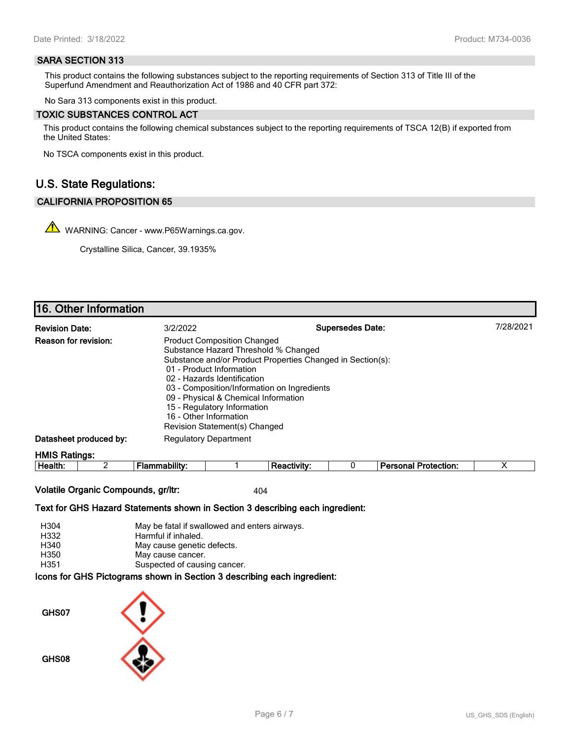#### **SARA SECTION 313**

This product contains the following substances subject to the reporting requirements of Section 313 of Title III of the Superfund Amendment and Reauthorization Act of 1986 and 40 CFR part 372:

No Sara 313 components exist in this product.

#### **TOXIC SUBSTANCES CONTROL ACT**

This product contains the following chemical substances subject to the reporting requirements of TSCA 12(B) if exported from the United States:

No TSCA components exist in this product.

## **U.S. State Regulations:**

#### **CALIFORNIA PROPOSITION 65**

WARNING: Cancer - www.P65Warnings.ca.gov.

Crystalline Silica, Cancer, 39.1935%

# **16. Other Information**

| <b>Revision Date:</b>       | 3/2/2022                                                                                                                                                                                                                                                                                                               | <b>Supersedes Date:</b>                                    | 7/28/2021 |
|-----------------------------|------------------------------------------------------------------------------------------------------------------------------------------------------------------------------------------------------------------------------------------------------------------------------------------------------------------------|------------------------------------------------------------|-----------|
| <b>Reason for revision:</b> | <b>Product Composition Changed</b><br>Substance Hazard Threshold % Changed<br>01 - Product Information<br>02 - Hazards Identification<br>03 - Composition/Information on Ingredients<br>09 - Physical & Chemical Information<br>15 - Regulatory Information<br>16 - Other Information<br>Revision Statement(s) Changed | Substance and/or Product Properties Changed in Section(s): |           |
| Datasheet produced by:      | <b>Regulatory Department</b>                                                                                                                                                                                                                                                                                           |                                                            |           |
| <b>HMIS Ratings:</b>        |                                                                                                                                                                                                                                                                                                                        |                                                            |           |

| .<br>.vıt<br>пе<br>юн |  | alll |  | . |  |  |  | Protection: |  |
|-----------------------|--|------|--|---|--|--|--|-------------|--|
|-----------------------|--|------|--|---|--|--|--|-------------|--|

**Volatile Organic Compounds, gr/ltr:** 404

**Text for GHS Hazard Statements shown in Section 3 describing each ingredient:**

| H304 | May be fatal if swallowed and enters airways.                   |
|------|-----------------------------------------------------------------|
| H332 | Harmful if inhaled.                                             |
| H340 | May cause genetic defects.                                      |
| H350 | May cause cancer.                                               |
| H351 | Suspected of causing cancer.                                    |
|      | aana far OUO Distantena ahalun in Oastian O daasulking aash ing |

**Icons for GHS Pictograms shown in Section 3 describing each ingredient:**